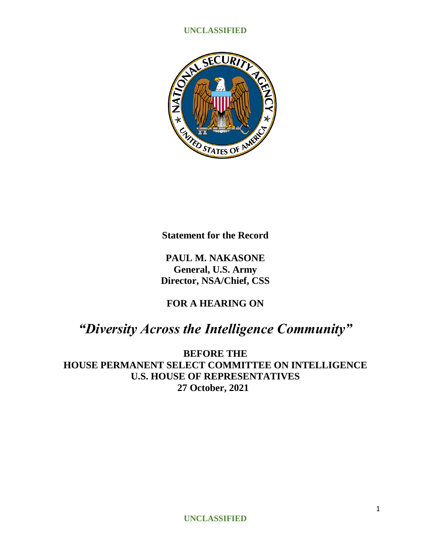

**Statement for the Record**

**PAUL M. NAKASONE General, U.S. Army Director, NSA/Chief, CSS**

**FOR A HEARING ON**

# *"Diversity Across the Intelligence Community"*

**BEFORE THE HOUSE PERMANENT SELECT COMMITTEE ON INTELLIGENCE U.S. HOUSE OF REPRESENTATIVES 27 October, 2021**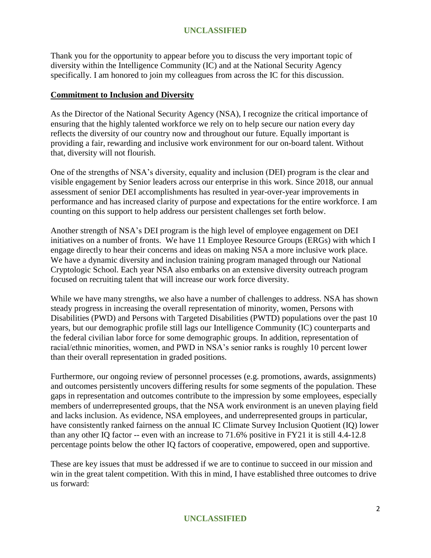Thank you for the opportunity to appear before you to discuss the very important topic of diversity within the Intelligence Community (IC) and at the National Security Agency specifically. I am honored to join my colleagues from across the IC for this discussion.

## **Commitment to Inclusion and Diversity**

As the Director of the National Security Agency (NSA), I recognize the critical importance of ensuring that the highly talented workforce we rely on to help secure our nation every day reflects the diversity of our country now and throughout our future. Equally important is providing a fair, rewarding and inclusive work environment for our on-board talent. Without that, diversity will not flourish.

One of the strengths of NSA's diversity, equality and inclusion (DEI) program is the clear and visible engagement by Senior leaders across our enterprise in this work. Since 2018, our annual assessment of senior DEI accomplishments has resulted in year-over-year improvements in performance and has increased clarity of purpose and expectations for the entire workforce. I am counting on this support to help address our persistent challenges set forth below.

Another strength of NSA's DEI program is the high level of employee engagement on DEI initiatives on a number of fronts. We have 11 Employee Resource Groups (ERGs) with which I engage directly to hear their concerns and ideas on making NSA a more inclusive work place. We have a dynamic diversity and inclusion training program managed through our National Cryptologic School. Each year NSA also embarks on an extensive diversity outreach program focused on recruiting talent that will increase our work force diversity.

While we have many strengths, we also have a number of challenges to address. NSA has shown steady progress in increasing the overall representation of minority, women, Persons with Disabilities (PWD) and Persons with Targeted Disabilities (PWTD) populations over the past 10 years, but our demographic profile still lags our Intelligence Community (IC) counterparts and the federal civilian labor force for some demographic groups. In addition, representation of racial/ethnic minorities, women, and PWD in NSA's senior ranks is roughly 10 percent lower than their overall representation in graded positions.

Furthermore, our ongoing review of personnel processes (e.g. promotions, awards, assignments) and outcomes persistently uncovers differing results for some segments of the population. These gaps in representation and outcomes contribute to the impression by some employees, especially members of underrepresented groups, that the NSA work environment is an uneven playing field and lacks inclusion. As evidence, NSA employees, and underrepresented groups in particular, have consistently ranked fairness on the annual IC Climate Survey Inclusion Quotient (IQ) lower than any other IQ factor -- even with an increase to 71.6% positive in FY21 it is still 4.4-12.8 percentage points below the other IQ factors of cooperative, empowered, open and supportive.

These are key issues that must be addressed if we are to continue to succeed in our mission and win in the great talent competition. With this in mind, I have established three outcomes to drive us forward: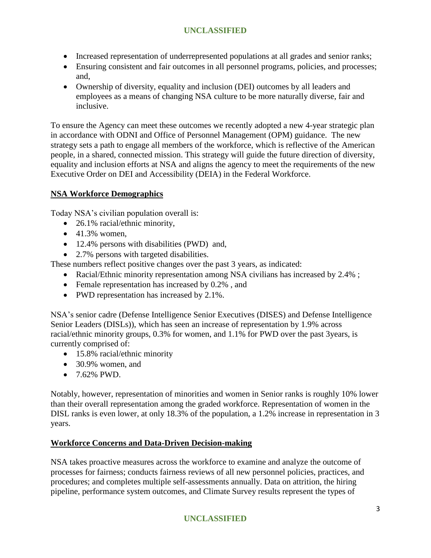- Increased representation of underrepresented populations at all grades and senior ranks;
- Ensuring consistent and fair outcomes in all personnel programs, policies, and processes; and,
- Ownership of diversity, equality and inclusion (DEI) outcomes by all leaders and employees as a means of changing NSA culture to be more naturally diverse, fair and inclusive.

To ensure the Agency can meet these outcomes we recently adopted a new 4-year strategic plan in accordance with ODNI and Office of Personnel Management (OPM) guidance. The new strategy sets a path to engage all members of the workforce, which is reflective of the American people, in a shared, connected mission. This strategy will guide the future direction of diversity, equality and inclusion efforts at NSA and aligns the agency to meet the requirements of the new Executive Order on DEI and Accessibility (DEIA) in the Federal Workforce.

# **NSA Workforce Demographics**

Today NSA's civilian population overall is:

- 26.1% racial/ethnic minority,
- $\bullet$  41.3% women,
- 12.4% persons with disabilities (PWD) and,
- 2.7% persons with targeted disabilities.

These numbers reflect positive changes over the past 3 years, as indicated:

- Racial/Ethnic minority representation among NSA civilians has increased by 2.4%;
- Female representation has increased by 0.2%, and
- PWD representation has increased by 2.1%.

NSA's senior cadre (Defense Intelligence Senior Executives (DISES) and Defense Intelligence Senior Leaders (DISLs)), which has seen an increase of representation by 1.9% across racial/ethnic minority groups, 0.3% for women, and 1.1% for PWD over the past 3years, is currently comprised of:

- 15.8% racial/ethnic minority
- 30.9% women, and
- $-7.62\%$  PWD.

Notably, however, representation of minorities and women in Senior ranks is roughly 10% lower than their overall representation among the graded workforce. Representation of women in the DISL ranks is even lower, at only 18.3% of the population, a 1.2% increase in representation in 3 years.

# **Workforce Concerns and Data-Driven Decision-making**

NSA takes proactive measures across the workforce to examine and analyze the outcome of processes for fairness; conducts fairness reviews of all new personnel policies, practices, and procedures; and completes multiple self-assessments annually. Data on attrition, the hiring pipeline, performance system outcomes, and Climate Survey results represent the types of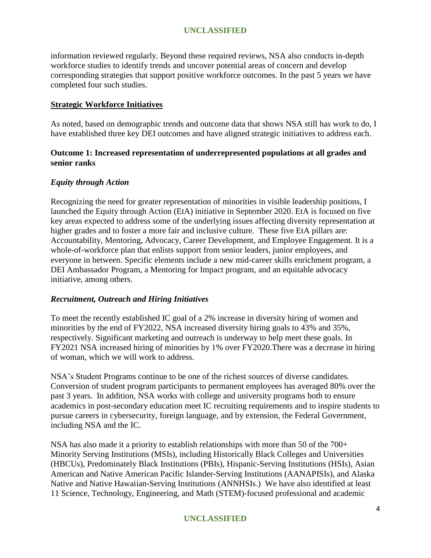information reviewed regularly. Beyond these required reviews, NSA also conducts in-depth workforce studies to identify trends and uncover potential areas of concern and develop corresponding strategies that support positive workforce outcomes. In the past 5 years we have completed four such studies.

## **Strategic Workforce Initiatives**

As noted, based on demographic trends and outcome data that shows NSA still has work to do, I have established three key DEI outcomes and have aligned strategic initiatives to address each.

## **Outcome 1: Increased representation of underrepresented populations at all grades and senior ranks**

## *Equity through Action*

Recognizing the need for greater representation of minorities in visible leadership positions, I launched the Equity through Action (EtA) initiative in September 2020. EtA is focused on five key areas expected to address some of the underlying issues affecting diversity representation at higher grades and to foster a more fair and inclusive culture. These five EtA pillars are: Accountability, Mentoring, Advocacy, Career Development, and Employee Engagement. It is a whole-of-workforce plan that enlists support from senior leaders, junior employees, and everyone in between. Specific elements include a new mid-career skills enrichment program, a DEI Ambassador Program, a Mentoring for Impact program, and an equitable advocacy initiative, among others.

## *Recruitment, Outreach and Hiring Initiatives*

To meet the recently established IC goal of a 2% increase in diversity hiring of women and minorities by the end of FY2022, NSA increased diversity hiring goals to 43% and 35%, respectively. Significant marketing and outreach is underway to help meet these goals. In FY2021 NSA increased hiring of minorities by 1% over FY2020.There was a decrease in hiring of woman, which we will work to address.

NSA's Student Programs continue to be one of the richest sources of diverse candidates. Conversion of student program participants to permanent employees has averaged 80% over the past 3 years. In addition, NSA works with college and university programs both to ensure academics in post-secondary education meet IC recruiting requirements and to inspire students to pursue careers in cybersecurity, foreign language, and by extension, the Federal Government, including NSA and the IC.

NSA has also made it a priority to establish relationships with more than 50 of the 700+ Minority Serving Institutions (MSIs), including Historically Black Colleges and Universities (HBCUs), Predominately Black Institutions (PBIs), Hispanic-Serving Institutions (HSIs), Asian American and Native American Pacific Islander-Serving Institutions (AANAPISIs), and Alaska Native and Native Hawaiian-Serving Institutions (ANNHSIs.) We have also identified at least 11 Science, Technology, Engineering, and Math (STEM)-focused professional and academic

## **UNCLASSIFIED**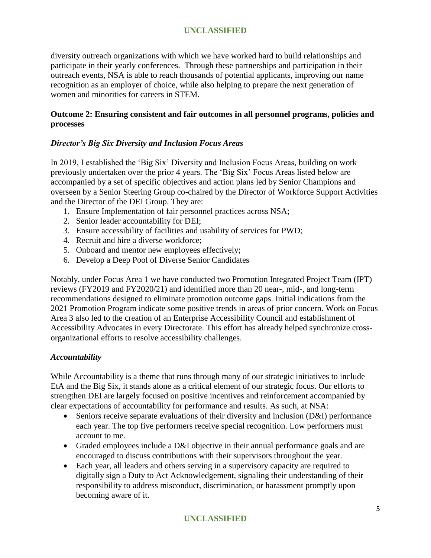diversity outreach organizations with which we have worked hard to build relationships and participate in their yearly conferences. Through these partnerships and participation in their outreach events, NSA is able to reach thousands of potential applicants, improving our name recognition as an employer of choice, while also helping to prepare the next generation of women and minorities for careers in STEM.

# **Outcome 2: Ensuring consistent and fair outcomes in all personnel programs, policies and processes**

## *Director's Big Six Diversity and Inclusion Focus Areas*

In 2019, I established the 'Big Six' Diversity and Inclusion Focus Areas, building on work previously undertaken over the prior 4 years. The 'Big Six' Focus Areas listed below are accompanied by a set of specific objectives and action plans led by Senior Champions and overseen by a Senior Steering Group co-chaired by the Director of Workforce Support Activities and the Director of the DEI Group. They are:

- 1. Ensure Implementation of fair personnel practices across NSA;
- 2. Senior leader accountability for DEI;
- 3. Ensure accessibility of facilities and usability of services for PWD;
- 4. Recruit and hire a diverse workforce;
- 5. Onboard and mentor new employees effectively;
- 6. Develop a Deep Pool of Diverse Senior Candidates

Notably, under Focus Area 1 we have conducted two Promotion Integrated Project Team (IPT) reviews (FY2019 and FY2020/21) and identified more than 20 near-, mid-, and long-term recommendations designed to eliminate promotion outcome gaps. Initial indications from the 2021 Promotion Program indicate some positive trends in areas of prior concern. Work on Focus Area 3 also led to the creation of an Enterprise Accessibility Council and establishment of Accessibility Advocates in every Directorate. This effort has already helped synchronize crossorganizational efforts to resolve accessibility challenges.

## *Accountability*

While Accountability is a theme that runs through many of our strategic initiatives to include EtA and the Big Six, it stands alone as a critical element of our strategic focus. Our efforts to strengthen DEI are largely focused on positive incentives and reinforcement accompanied by clear expectations of accountability for performance and results. As such, at NSA:

- Seniors receive separate evaluations of their diversity and inclusion (D&I) performance each year. The top five performers receive special recognition. Low performers must account to me.
- Graded employees include a D&I objective in their annual performance goals and are encouraged to discuss contributions with their supervisors throughout the year.
- Each year, all leaders and others serving in a supervisory capacity are required to digitally sign a Duty to Act Acknowledgement, signaling their understanding of their responsibility to address misconduct, discrimination, or harassment promptly upon becoming aware of it.

## **UNCLASSIFIED**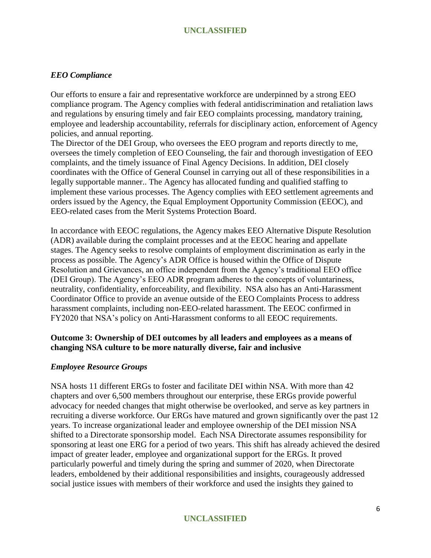#### *EEO Compliance*

Our efforts to ensure a fair and representative workforce are underpinned by a strong EEO compliance program. The Agency complies with federal antidiscrimination and retaliation laws and regulations by ensuring timely and fair EEO complaints processing, mandatory training, employee and leadership accountability, referrals for disciplinary action, enforcement of Agency policies, and annual reporting.

The Director of the DEI Group, who oversees the EEO program and reports directly to me, oversees the timely completion of EEO Counseling, the fair and thorough investigation of EEO complaints, and the timely issuance of Final Agency Decisions. In addition, DEI closely coordinates with the Office of General Counsel in carrying out all of these responsibilities in a legally supportable manner.. The Agency has allocated funding and qualified staffing to implement these various processes. The Agency complies with EEO settlement agreements and orders issued by the Agency, the Equal Employment Opportunity Commission (EEOC), and EEO-related cases from the Merit Systems Protection Board.

In accordance with EEOC regulations, the Agency makes EEO Alternative Dispute Resolution (ADR) available during the complaint processes and at the EEOC hearing and appellate stages. The Agency seeks to resolve complaints of employment discrimination as early in the process as possible. The Agency's ADR Office is housed within the Office of Dispute Resolution and Grievances, an office independent from the Agency's traditional EEO office (DEI Group). The Agency's EEO ADR program adheres to the concepts of voluntariness, neutrality, confidentiality, enforceability, and flexibility. NSA also has an Anti-Harassment Coordinator Office to provide an avenue outside of the EEO Complaints Process to address harassment complaints, including non-EEO-related harassment. The EEOC confirmed in FY2020 that NSA's policy on Anti-Harassment conforms to all EEOC requirements.

## **Outcome 3: Ownership of DEI outcomes by all leaders and employees as a means of changing NSA culture to be more naturally diverse, fair and inclusive**

#### *Employee Resource Groups*

NSA hosts 11 different ERGs to foster and facilitate DEI within NSA. With more than 42 chapters and over 6,500 members throughout our enterprise, these ERGs provide powerful advocacy for needed changes that might otherwise be overlooked, and serve as key partners in recruiting a diverse workforce. Our ERGs have matured and grown significantly over the past 12 years. To increase organizational leader and employee ownership of the DEI mission NSA shifted to a Directorate sponsorship model. Each NSA Directorate assumes responsibility for sponsoring at least one ERG for a period of two years. This shift has already achieved the desired impact of greater leader, employee and organizational support for the ERGs. It proved particularly powerful and timely during the spring and summer of 2020, when Directorate leaders, emboldened by their additional responsibilities and insights, courageously addressed social justice issues with members of their workforce and used the insights they gained to

## **UNCLASSIFIED**